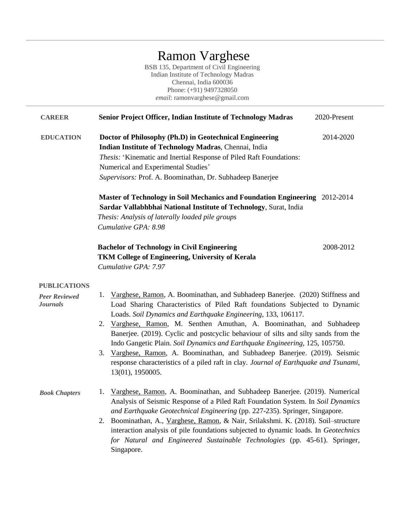# Ramon Varghese

BSB 135, Department of Civil Engineering Indian Institute of Technology Madras Chennai, India 600036 Phone: (+91) 9497328050 *email*: ramonvarghese@gmail.com

| <b>CAREER</b>                                                  | Senior Project Officer, Indian Institute of Technology Madras                                                                                                                                                                                                                                                                                                                                                                                                                                                                                                                                                                                                              | 2020-Present |
|----------------------------------------------------------------|----------------------------------------------------------------------------------------------------------------------------------------------------------------------------------------------------------------------------------------------------------------------------------------------------------------------------------------------------------------------------------------------------------------------------------------------------------------------------------------------------------------------------------------------------------------------------------------------------------------------------------------------------------------------------|--------------|
| <b>EDUCATION</b>                                               | Doctor of Philosophy (Ph.D) in Geotechnical Engineering<br>Indian Institute of Technology Madras, Chennai, India<br>Thesis: 'Kinematic and Inertial Response of Piled Raft Foundations:<br>Numerical and Experimental Studies'<br>Supervisors: Prof. A. Boominathan, Dr. Subhadeep Banerjee                                                                                                                                                                                                                                                                                                                                                                                | 2014-2020    |
|                                                                | Master of Technology in Soil Mechanics and Foundation Engineering 2012-2014<br>Sardar Vallabhbhai National Institute of Technology, Surat, India<br>Thesis: Analysis of laterally loaded pile groups<br>Cumulative GPA: 8.98<br><b>Bachelor of Technology in Civil Engineering</b><br>TKM College of Engineering, University of Kerala                                                                                                                                                                                                                                                                                                                                     | 2008-2012    |
|                                                                | Cumulative GPA: 7.97                                                                                                                                                                                                                                                                                                                                                                                                                                                                                                                                                                                                                                                       |              |
| <b>PUBLICATIONS</b><br><b>Peer Reviewed</b><br><b>Journals</b> | 1. Varghese, Ramon, A. Boominathan, and Subhadeep Banerjee. (2020) Stiffness and<br>Load Sharing Characteristics of Piled Raft foundations Subjected to Dynamic<br>Loads. Soil Dynamics and Earthquake Engineering, 133, 106117.<br>2. Varghese, Ramon, M. Senthen Amuthan, A. Boominathan, and Subhadeep<br>Banerjee. (2019). Cyclic and postcyclic behaviour of silts and silty sands from the<br>Indo Gangetic Plain. Soil Dynamics and Earthquake Engineering, 125, 105750.<br>3. Varghese, Ramon, A. Boominathan, and Subhadeep Banerjee. (2019). Seismic<br>response characteristics of a piled raft in clay. Journal of Earthquake and Tsunami,<br>13(01), 1950005. |              |
| <b>Book Chapters</b>                                           | 1. Varghese, Ramon, A. Boominathan, and Subhadeep Banerjee. (2019). Numerical<br>Analysis of Seismic Response of a Piled Raft Foundation System. In Soil Dynamics<br>and Earthquake Geotechnical Engineering (pp. 227-235). Springer, Singapore.<br>2. Boominathan, A., Varghese, Ramon, & Nair, Srilakshmi. K. (2018). Soil-structure<br>interaction analysis of pile foundations subjected to dynamic loads. In Geotechnics<br>for Natural and Engineered Sustainable Technologies (pp. 45-61). Springer,<br>Singapore.                                                                                                                                                  |              |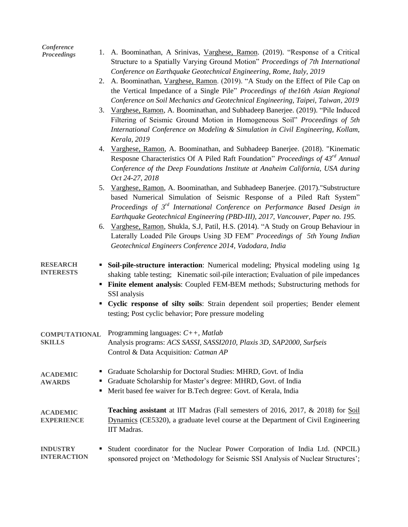| Conference<br><b>Proceedings</b>      | A. Boominathan, A Srinivas, Varghese, Ramon. (2019). "Response of a Critical<br>1.<br>Structure to a Spatially Varying Ground Motion" Proceedings of 7th International<br>Conference on Earthquake Geotechnical Engineering, Rome, Italy, 2019                                                                                                           |  |
|---------------------------------------|----------------------------------------------------------------------------------------------------------------------------------------------------------------------------------------------------------------------------------------------------------------------------------------------------------------------------------------------------------|--|
|                                       | A. Boominathan, Varghese, Ramon. (2019). "A Study on the Effect of Pile Cap on<br>2.<br>the Vertical Impedance of a Single Pile" Proceedings of the 16th Asian Regional                                                                                                                                                                                  |  |
|                                       | Conference on Soil Mechanics and Geotechnical Engineering, Taipei, Taiwan, 2019<br>Varghese, Ramon, A. Boominathan, and Subhadeep Banerjee. (2019). "Pile Induced<br>3.<br>Filtering of Seismic Ground Motion in Homogeneous Soil" Proceedings of 5th<br>International Conference on Modeling & Simulation in Civil Engineering, Kollam,<br>Kerala, 2019 |  |
|                                       | Varghese, Ramon, A. Boominathan, and Subhadeep Banerjee. (2018). "Kinematic<br>4.<br>Resposne Characteristics Of A Piled Raft Foundation" Proceedings of 43 <sup>rd</sup> Annual<br>Conference of the Deep Foundations Institute at Anaheim California, USA during<br>Oct 24-27, 2018                                                                    |  |
|                                       | Varghese, Ramon, A. Boominathan, and Subhadeep Banerjee. (2017). "Substructure<br>5.<br>based Numerical Simulation of Seismic Response of a Piled Raft System"<br>Proceedings of 3 <sup>rd</sup> International Conference on Performance Based Design in<br>Earthquake Geotechnical Engineering (PBD-III), 2017, Vancouver, Paper no. 195.               |  |
|                                       | Varghese, Ramon, Shukla, S.J. Patil, H.S. (2014). "A Study on Group Behaviour in<br>6.<br>Laterally Loaded Pile Groups Using 3D FEM" Proceedings of 5th Young Indian<br>Geotechnical Engineers Conference 2014, Vadodara, India                                                                                                                          |  |
| <b>RESEARCH</b><br><b>INTERESTS</b>   | Soil-pile-structure interaction: Numerical modeling; Physical modeling using 1g<br>shaking table testing; Kinematic soil-pile interaction; Evaluation of pile impedances<br>Finite element analysis: Coupled FEM-BEM methods; Substructuring methods for<br>SSI analysis                                                                                 |  |
|                                       | Cyclic response of silty soils: Strain dependent soil properties; Bender element<br>testing; Post cyclic behavior; Pore pressure modeling                                                                                                                                                                                                                |  |
| <b>COMPUTATIONAL</b><br><b>SKILLS</b> | Programming languages: $C++$ , Matlab<br>Analysis programs: ACS SASSI, SASSI2010, Plaxis 3D, SAP2000, Surfseis<br>Control & Data Acquisition: Catman AP                                                                                                                                                                                                  |  |
| <b>ACADEMIC</b><br><b>AWARDS</b>      | Graduate Scholarship for Doctoral Studies: MHRD, Govt. of India<br>Graduate Scholarship for Master's degree: MHRD, Govt. of India<br>Merit based fee waiver for B.Tech degree: Govt. of Kerala, India                                                                                                                                                    |  |
| <b>ACADEMIC</b><br><b>EXPERIENCE</b>  | <b>Teaching assistant</b> at IIT Madras (Fall semesters of 2016, 2017, & 2018) for <b>Soil</b><br>Dynamics (CE5320), a graduate level course at the Department of Civil Engineering<br>IIT Madras.                                                                                                                                                       |  |
| <b>INDUSTRY</b><br><b>INTERACTION</b> | Student coordinator for the Nuclear Power Corporation of India Ltd. (NPCIL)<br>sponsored project on 'Methodology for Seismic SSI Analysis of Nuclear Structures';                                                                                                                                                                                        |  |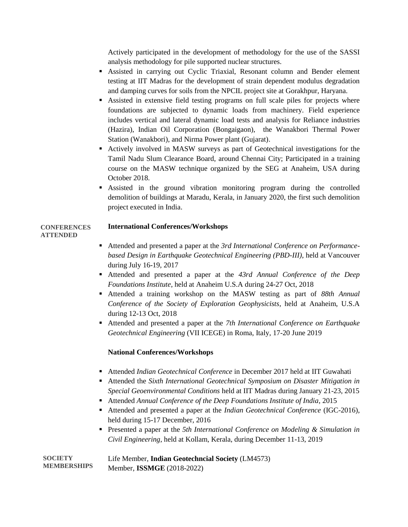Actively participated in the development of methodology for the use of the SASSI analysis methodology for pile supported nuclear structures.

- Assisted in carrying out Cyclic Triaxial, Resonant column and Bender element testing at IIT Madras for the development of strain dependent modulus degradation and damping curves for soils from the NPCIL project site at Gorakhpur, Haryana.
- Assisted in extensive field testing programs on full scale piles for projects where foundations are subjected to dynamic loads from machinery. Field experience includes vertical and lateral dynamic load tests and analysis for Reliance industries (Hazira), Indian Oil Corporation (Bongaigaon), the Wanakbori Thermal Power Station (Wanakbori), and Nirma Power plant (Gujarat).
- Actively involved in MASW surveys as part of Geotechnical investigations for the Tamil Nadu Slum Clearance Board, around Chennai City; Participated in a training course on the MASW technique organized by the SEG at Anaheim, USA during October 2018.
- Assisted in the ground vibration monitoring program during the controlled demolition of buildings at Maradu, Kerala, in January 2020, the first such demolition project executed in India.

#### **International Conferences/Workshops CONFERENCES ATTENDED**

- Attended and presented a paper at the *3rd International Conference on Performancebased Design in Earthquake Geotechnical Engineering (PBD-III)*, held at Vancouver during July 16-19, 2017
- Attended and presented a paper at the *43rd Annual Conference of the Deep Foundations Institute*, held at Anaheim U.S.A during 24-27 Oct, 2018
- Attended a training workshop on the MASW testing as part of *88th Annual Conference of the Society of Exploration Geophysicists*, held at Anaheim, U.S.A during 12-13 Oct, 2018
- Attended and presented a paper at the *7th International Conference on Earthquake Geotechnical Engineering* (VII ICEGE) in Roma, Italy, 17-20 June 2019

# **National Conferences/Workshops**

- Attended *Indian Geotechnical Conference* in December 2017 held at IIT Guwahati
- Attended the *Sixth International Geotechnical Symposium on Disaster Mitigation in Special Geoenvironmental Conditions* held at IIT Madras during January 21-23, 2015
- Attended *Annual Conference of the Deep Foundations Institute of India*, 2015
- Attended and presented a paper at the *Indian Geotechnical Conference* (IGC-2016), held during 15-17 December, 2016
- Presented a paper at the *5th International Conference on Modeling & Simulation in Civil Engineering*, held at Kollam, Kerala, during December 11-13, 2019

Life Member, **Indian Geotechncial Society** (LM4573) Member, **ISSMGE** (2018-2022) **SOCIETY MEMBERSHIPS**